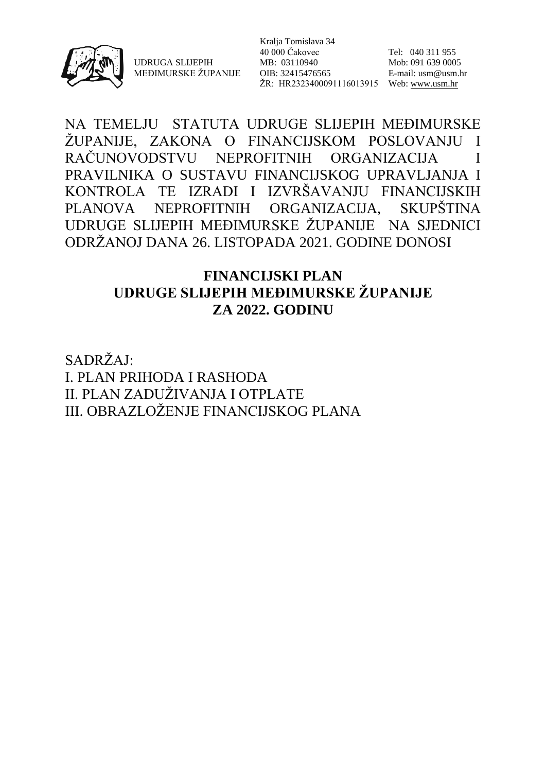

UDRUGA SLIJEPIH MEĐIMURSKE ŽUPANIJE

Kralja Tomislava 34 40 000 Čakovec MB: 03110940 OIB: 32415476565 ŽR: HR2323400091116013915 Web[: www.usm.hr](http://www.usm.hr/)

Tel: 040 311 955 Mob: 091 639 0005 E-mail: usm@usm.hr

NA TEMELJU STATUTA UDRUGE SLIJEPIH MEĐIMURSKE ŽUPANIJE, ZAKONA O FINANCIJSKOM POSLOVANJU I RAČUNOVODSTVU NEPROFITNIH ORGANIZACIJA I PRAVILNIKA O SUSTAVU FINANCIJSKOG UPRAVLJANJA I KONTROLA TE IZRADI I IZVRŠAVANJU FINANCIJSKIH PLANOVA NEPROFITNIH ORGANIZACIJA, SKUPŠTINA UDRUGE SLIJEPIH MEĐIMURSKE ŽUPANIJE NA SJEDNICI ODRŽANOJ DANA 26. LISTOPADA 2021. GODINE DONOSI

#### **FINANCIJSKI PLAN UDRUGE SLIJEPIH MEĐIMURSKE ŽUPANIJE ZA 2022. GODINU**

SADRŽAJ: I. PLAN PRIHODA I RASHODA II. PLAN ZADUŽIVANJA I OTPLATE III. OBRAZLOŽENJE FINANCIJSKOG PLANA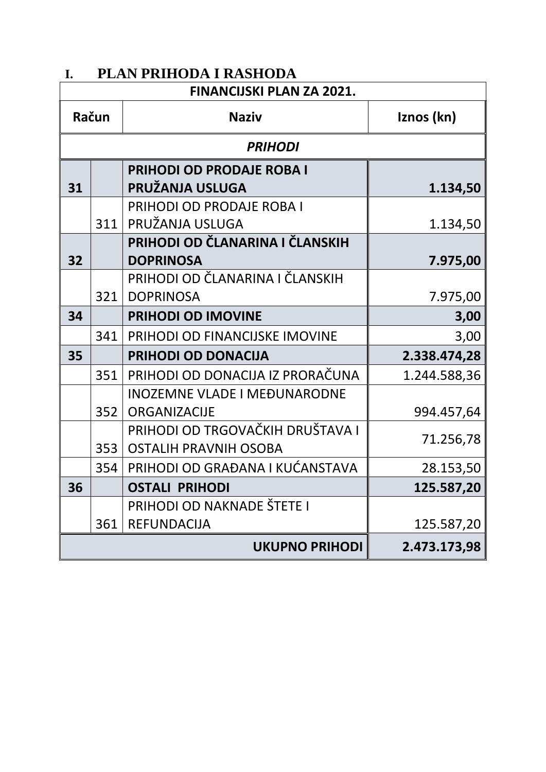| <b>FINANCIJSKI PLAN ZA 2021.</b> |     |                                     |              |  |  |
|----------------------------------|-----|-------------------------------------|--------------|--|--|
| Račun                            |     | <b>Naziv</b>                        | Iznos (kn)   |  |  |
| <b>PRIHODI</b>                   |     |                                     |              |  |  |
|                                  |     | <b>PRIHODI OD PRODAJE ROBA I</b>    |              |  |  |
| 31                               |     | PRUŽANJA USLUGA                     | 1.134,50     |  |  |
|                                  |     | PRIHODI OD PRODAJE ROBA I           |              |  |  |
|                                  | 311 | PRUŽANJA USLUGA                     | 1.134,50     |  |  |
|                                  |     | PRIHODI OD ČLANARINA I ČLANSKIH     |              |  |  |
| 32                               |     | <b>DOPRINOSA</b>                    | 7.975,00     |  |  |
|                                  |     | PRIHODI OD ČLANARINA I ČLANSKIH     |              |  |  |
|                                  | 321 | <b>DOPRINOSA</b>                    | 7.975,00     |  |  |
| 34                               |     | <b>PRIHODI OD IMOVINE</b>           | 3,00         |  |  |
|                                  | 341 | PRIHODI OD FINANCIJSKE IMOVINE      | 3,00         |  |  |
| 35                               |     | PRIHODI OD DONACIJA                 | 2.338.474,28 |  |  |
|                                  | 351 | PRIHODI OD DONACIJA IZ PRORAČUNA    | 1.244.588,36 |  |  |
|                                  |     | <b>INOZEMNE VLADE I MEĐUNARODNE</b> |              |  |  |
|                                  | 352 | <b>ORGANIZACIJE</b>                 | 994.457,64   |  |  |
|                                  |     | PRIHODI OD TRGOVAČKIH DRUŠTAVA I    |              |  |  |
|                                  | 353 | <b>OSTALIH PRAVNIH OSOBA</b>        | 71.256,78    |  |  |
|                                  | 354 | PRIHODI OD GRAĐANA I KUĆANSTAVA     | 28.153,50    |  |  |
| 36                               |     | <b>OSTALI PRIHODI</b>               | 125.587,20   |  |  |
|                                  |     | PRIHODI OD NAKNADE ŠTETE I          |              |  |  |
|                                  | 361 | <b>REFUNDACIJA</b>                  | 125.587,20   |  |  |
|                                  |     | <b>UKUPNO PRIHODI</b>               | 2.473.173,98 |  |  |

#### **I. PLAN PRIHODA I RASHODA**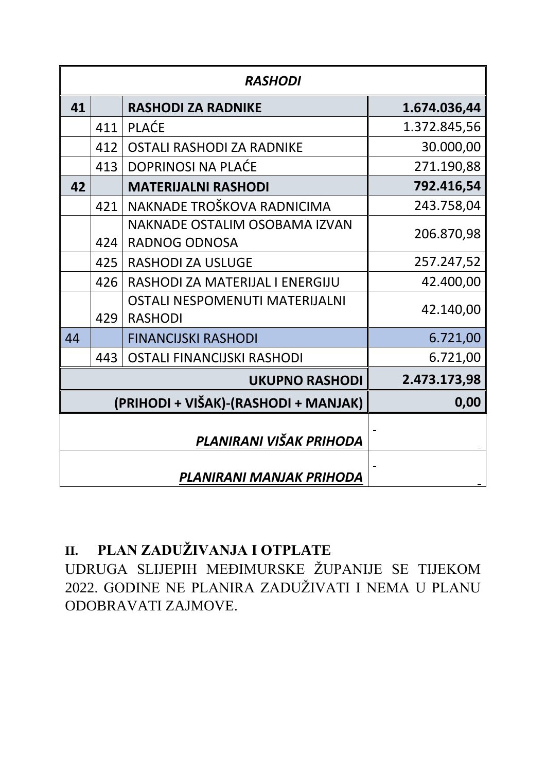| <b>RASHODI</b>           |     |                                       |              |  |
|--------------------------|-----|---------------------------------------|--------------|--|
| 41                       |     | <b>RASHODI ZA RADNIKE</b>             | 1.674.036,44 |  |
|                          | 411 | <b>PLAĆE</b>                          | 1.372.845,56 |  |
|                          | 412 | <b>OSTALI RASHODI ZA RADNIKE</b>      | 30.000,00    |  |
|                          | 413 | <b>DOPRINOSI NA PLAĆE</b>             | 271.190,88   |  |
| 42                       |     | <b>MATERIJALNI RASHODI</b>            | 792.416,54   |  |
|                          | 421 | NAKNADE TROŠKOVA RADNICIMA            | 243.758,04   |  |
|                          | 424 | NAKNADE OSTALIM OSOBAMA IZVAN         | 206.870,98   |  |
|                          |     | <b>RADNOG ODNOSA</b>                  |              |  |
|                          | 425 | <b>RASHODI ZA USLUGE</b>              | 257.247,52   |  |
|                          | 426 | RASHODI ZA MATERIJAL I ENERGIJU       | 42.400,00    |  |
|                          |     | <b>OSTALI NESPOMENUTI MATERIJALNI</b> | 42.140,00    |  |
|                          | 429 | <b>RASHODI</b>                        |              |  |
| 44                       |     | <b>FINANCIJSKI RASHODI</b>            | 6.721,00     |  |
|                          | 443 | <b>OSTALI FINANCIJSKI RASHODI</b>     | 6.721,00     |  |
|                          |     | 2.473.173,98                          |              |  |
|                          |     | (PRIHODI + VIŠAK)-(RASHODI + MANJAK)  | 0,00         |  |
| PLANIRANI VIŠAK PRIHODA  |     |                                       |              |  |
| PLANIRANI MANJAK PRIHODA |     |                                       |              |  |

# **II. PLAN ZADUŽIVANJA I OTPLATE**

UDRUGA SLIJEPIH MEĐIMURSKE ŽUPANIJE SE TIJEKOM 2022. GODINE NE PLANIRA ZADUŽIVATI I NEMA U PLANU ODOBRAVATI ZAJMOVE.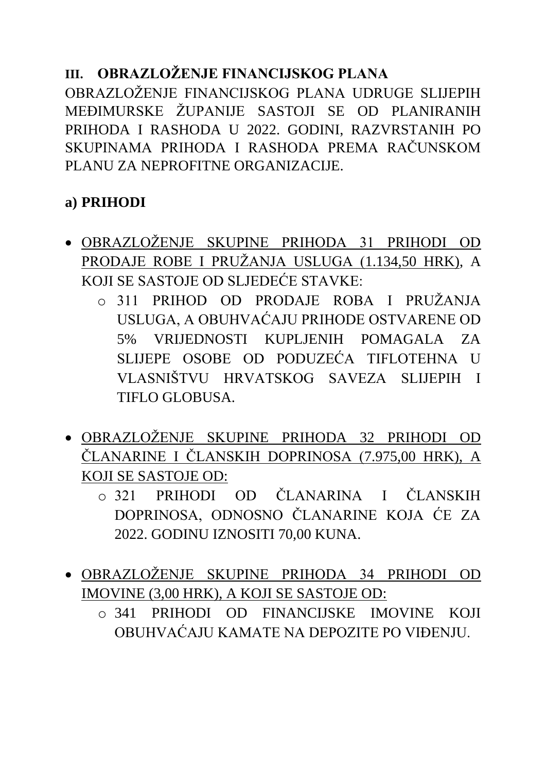## **III. OBRAZLOŽENJE FINANCIJSKOG PLANA**

OBRAZLOŽENJE FINANCIJSKOG PLANA UDRUGE SLIJEPIH MEĐIMURSKE ŽUPANIJE SASTOJI SE OD PLANIRANIH PRIHODA I RASHODA U 2022. GODINI, RAZVRSTANIH PO SKUPINAMA PRIHODA I RASHODA PREMA RAČUNSKOM PLANU ZA NEPROFITNE ORGANIZACIJE.

### **a) PRIHODI**

- OBRAZLOŽENJE SKUPINE PRIHODA 31 PRIHODI OD PRODAJE ROBE I PRUŽANJA USLUGA (1.134,50 HRK), A KOJI SE SASTOJE OD SLJEDEĆE STAVKE:
	- o 311 PRIHOD OD PRODAJE ROBA I PRUŽANJA USLUGA, A OBUHVAĆAJU PRIHODE OSTVARENE OD 5% VRIJEDNOSTI KUPLJENIH POMAGALA ZA SLIJEPE OSOBE OD PODUZEĆA TIFLOTEHNA U VLASNIŠTVU HRVATSKOG SAVEZA SLIJEPIH I TIFLO GLOBUSA.
- OBRAZLOŽENJE SKUPINE PRIHODA 32 PRIHODI OD ČLANARINE I ČLANSKIH DOPRINOSA (7.975,00 HRK), A KOJI SE SASTOJE OD:
	- o 321 PRIHODI OD ČLANARINA I ČLANSKIH DOPRINOSA, ODNOSNO ČLANARINE KOJA ĆE ZA 2022. GODINU IZNOSITI 70,00 KUNA.
- OBRAZLOŽENJE SKUPINE PRIHODA 34 PRIHODI OD IMOVINE (3,00 HRK), A KOJI SE SASTOJE OD:
	- o 341 PRIHODI OD FINANCIJSKE IMOVINE KOJI OBUHVAĆAJU KAMATE NA DEPOZITE PO VIĐENJU.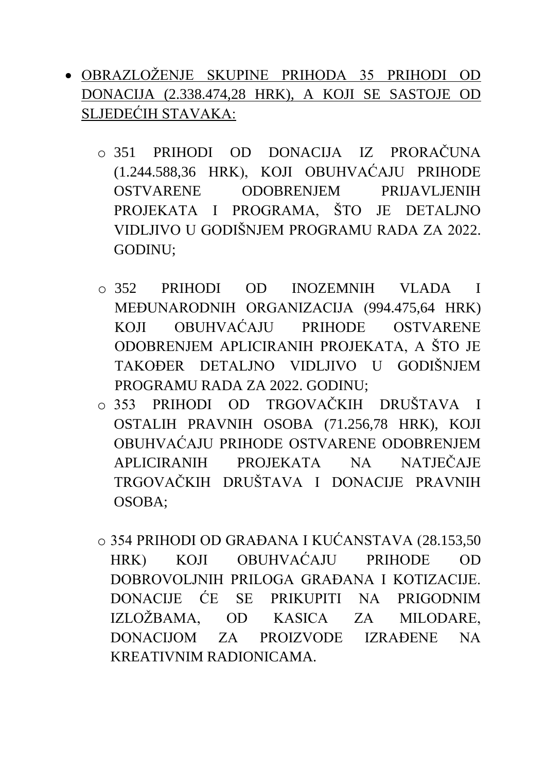- OBRAZLOŽENJE SKUPINE PRIHODA 35 PRIHODI OD DONACIJA (2.338.474,28 HRK), A KOJI SE SASTOJE OD SLJEDEĆIH STAVAKA:
	- o 351 PRIHODI OD DONACIJA IZ PRORAČUNA (1.244.588,36 HRK), KOJI OBUHVAĆAJU PRIHODE OSTVARENE ODOBRENJEM PRIJAVLJENIH PROJEKATA I PROGRAMA, ŠTO JE DETALJNO VIDLJIVO U GODIŠNJEM PROGRAMU RADA ZA 2022. GODINU;
	- o 352 PRIHODI OD INOZEMNIH VLADA I MEĐUNARODNIH ORGANIZACIJA (994.475,64 HRK) KOJI OBUHVAĆAJU PRIHODE OSTVARENE ODOBRENJEM APLICIRANIH PROJEKATA, A ŠTO JE TAKOĐER DETALJNO VIDLJIVO U GODIŠNJEM PROGRAMU RADA ZA 2022. GODINU;
	- o 353 PRIHODI OD TRGOVAČKIH DRUŠTAVA I OSTALIH PRAVNIH OSOBA (71.256,78 HRK), KOJI OBUHVAĆAJU PRIHODE OSTVARENE ODOBRENJEM APLICIRANIH PROJEKATA NA NATJEČAJE TRGOVAČKIH DRUŠTAVA I DONACIJE PRAVNIH OSOBA;
	- o 354 PRIHODI OD GRAĐANA I KUĆANSTAVA (28.153,50 HRK) KOJI OBUHVAĆAJU PRIHODE OD DOBROVOLJNIH PRILOGA GRAĐANA I KOTIZACIJE. DONACIJE ĆE SE PRIKUPITI NA PRIGODNIM IZLOŽBAMA, OD KASICA ZA MILODARE, DONACIJOM ZA PROIZVODE IZRAĐENE NA KREATIVNIM RADIONICAMA.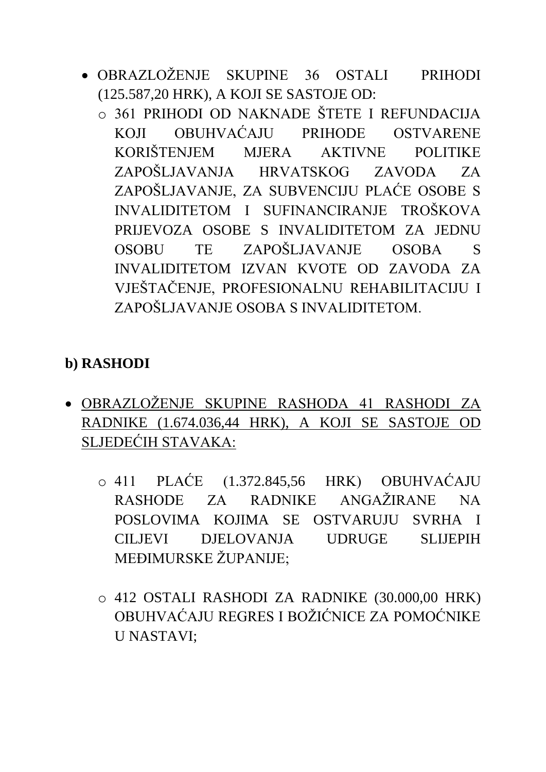- OBRAZLOŽENJE SKUPINE 36 OSTALI PRIHODI (125.587,20 HRK), A KOJI SE SASTOJE OD:
	- o 361 PRIHODI OD NAKNADE ŠTETE I REFUNDACIJA KOJI OBUHVAĆAJU PRIHODE OSTVARENE KORIŠTENJEM MJERA AKTIVNE POLITIKE ZAPOŠLJAVANJA HRVATSKOG ZAVODA ZA ZAPOŠLJAVANJE, ZA SUBVENCIJU PLAĆE OSOBE S INVALIDITETOM I SUFINANCIRANJE TROŠKOVA PRIJEVOZA OSOBE S INVALIDITETOM ZA JEDNU OSOBU TE ZAPOŠLJAVANJE OSOBA S INVALIDITETOM IZVAN KVOTE OD ZAVODA ZA VJEŠTAČENJE, PROFESIONALNU REHABILITACIJU I ZAPOŠLJAVANJE OSOBA S INVALIDITETOM.

### **b) RASHODI**

- OBRAZLOŽENJE SKUPINE RASHODA 41 RASHODI ZA RADNIKE (1.674.036,44 HRK), A KOJI SE SASTOJE OD SLJEDEĆIH STAVAKA:
	- $\circ$  411 PLAĆE (1.372.845.56 HRK) OBUHVAĆAJU RASHODE ZA RADNIKE ANGAŽIRANE NA POSLOVIMA KOJIMA SE OSTVARUJU SVRHA I CILJEVI DJELOVANJA UDRUGE SLIJEPIH MEĐIMURSKE ŽUPANIJE;
	- o 412 OSTALI RASHODI ZA RADNIKE (30.000,00 HRK) OBUHVAĆAJU REGRES I BOŽIĆNICE ZA POMOĆNIKE U NASTAVI;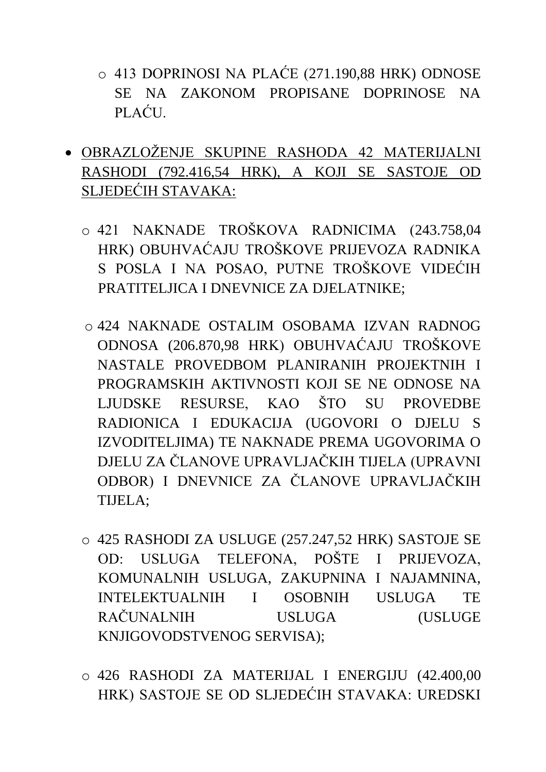- o 413 DOPRINOSI NA PLAĆE (271.190,88 HRK) ODNOSE SE NA ZAKONOM PROPISANE DOPRINOSE NA PLAĆU.
- OBRAZLOŽENJE SKUPINE RASHODA 42 MATERIJALNI RASHODI (792.416,54 HRK), A KOJI SE SASTOJE OD SLJEDEĆIH STAVAKA:
	- o 421 NAKNADE TROŠKOVA RADNICIMA (243.758,04 HRK) OBUHVAĆAJU TROŠKOVE PRIJEVOZA RADNIKA S POSLA I NA POSAO, PUTNE TROŠKOVE VIDEĆIH PRATITELJICA I DNEVNICE ZA DJELATNIKE;
	- o 424 NAKNADE OSTALIM OSOBAMA IZVAN RADNOG ODNOSA (206.870,98 HRK) OBUHVAĆAJU TROŠKOVE NASTALE PROVEDBOM PLANIRANIH PROJEKTNIH I PROGRAMSKIH AKTIVNOSTI KOJI SE NE ODNOSE NA LJUDSKE RESURSE, KAO ŠTO SU PROVEDBE RADIONICA I EDUKACIJA (UGOVORI O DJELU S IZVODITELJIMA) TE NAKNADE PREMA UGOVORIMA O DJELU ZA ČLANOVE UPRAVLJAČKIH TIJELA (UPRAVNI ODBOR) I DNEVNICE ZA ČLANOVE UPRAVLJAČKIH TIJELA;
	- o 425 RASHODI ZA USLUGE (257.247,52 HRK) SASTOJE SE OD: USLUGA TELEFONA, POŠTE I PRIJEVOZA, KOMUNALNIH USLUGA, ZAKUPNINA I NAJAMNINA, INTELEKTUALNIH I OSOBNIH USLUGA TE RAČUNALNIH USLUGA (USLUGE KNJIGOVODSTVENOG SERVISA);
	- o 426 RASHODI ZA MATERIJAL I ENERGIJU (42.400,00 HRK) SASTOJE SE OD SLJEDEĆIH STAVAKA: UREDSKI